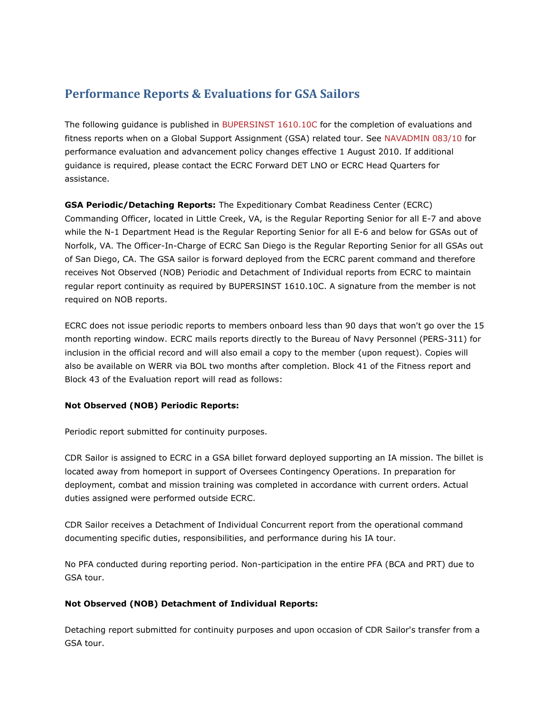## **Performance Reports & Evaluations for GSA Sailors**

The following guidance is published in [BUPERSINST 1610.10C](http://www.public.navy.mil/ia/Documents/BUPERINST161010C.pdf) for the completion of evaluations and fitness reports when on a Global Support Assignment (GSA) related tour. See [NAVADMIN 083/10](http://www.public.navy.mil/ia/Documents/NAV10083.txt) for performance evaluation and advancement policy changes effective 1 August 2010. If additional guidance is required, please contact the ECRC Forward DET LNO or ECRC Head Quarters for assistance.

**GSA Periodic/Detaching Reports:** The Expeditionary Combat Readiness Center (ECRC) Commanding Officer, located in Little Creek, VA, is the Regular Reporting Senior for all E-7 and above while the N-1 Department Head is the Regular Reporting Senior for all E-6 and below for GSAs out of Norfolk, VA. The Officer-In-Charge of ECRC San Diego is the Regular Reporting Senior for all GSAs out of San Diego, CA. The GSA sailor is forward deployed from the ECRC parent command and therefore receives Not Observed (NOB) Periodic and Detachment of Individual reports from ECRC to maintain regular report continuity as required by BUPERSINST 1610.10C. A signature from the member is not required on NOB reports.

ECRC does not issue periodic reports to members onboard less than 90 days that won't go over the 15 month reporting window. ECRC mails reports directly to the Bureau of Navy Personnel (PERS-311) for inclusion in the official record and will also email a copy to the member (upon request). Copies will also be available on WERR via BOL two months after completion. Block 41 of the Fitness report and Block 43 of the Evaluation report will read as follows:

## **Not Observed (NOB) Periodic Reports:**

Periodic report submitted for continuity purposes.

CDR Sailor is assigned to ECRC in a GSA billet forward deployed supporting an IA mission. The billet is located away from homeport in support of Oversees Contingency Operations. In preparation for deployment, combat and mission training was completed in accordance with current orders. Actual duties assigned were performed outside ECRC.

CDR Sailor receives a Detachment of Individual Concurrent report from the operational command documenting specific duties, responsibilities, and performance during his IA tour.

No PFA conducted during reporting period. Non-participation in the entire PFA (BCA and PRT) due to GSA tour.

## **Not Observed (NOB) Detachment of Individual Reports:**

Detaching report submitted for continuity purposes and upon occasion of CDR Sailor's transfer from a GSA tour.